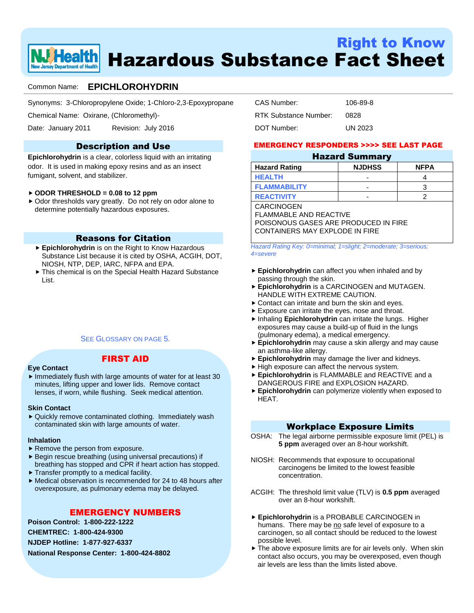

# Right to Know Hazardous Substance Fact Sheet

## Common Name: **EPICHLOROHYDRIN**

Synonyms: 3-Chloropropylene Oxide; 1-Chloro-2,3-Epoxypropane

Chemical Name: Oxirane, (Chloromethyl)-

Date: January 2011 Revision: July 2016

## Description and Use

**Epichlorohydrin** is a clear, colorless liquid with an irritating odor. It is used in making epoxy resins and as an insect fumigant, solvent, and stabilizer.

#### **ODOR THRESHOLD = 0.08 to 12 ppm**

 Odor thresholds vary greatly. Do not rely on odor alone to determine potentially hazardous exposures.

## Reasons for Citation

- **Epichlorohydrin** is on the Right to Know Hazardous Substance List because it is cited by OSHA, ACGIH, DOT, NIOSH, NTP, DEP, IARC, NFPA and EPA.
- This chemical is on the Special Health Hazard Substance List.

#### SEE GLOSSARY ON PAGE 5.

#### **Eye Contact**

## FIRST AID

 $\blacktriangleright$  Immediately flush with large amounts of water for at least 30 minutes, lifting upper and lower lids. Remove contact lenses, if worn, while flushing. Seek medical attention.

#### **Skin Contact**

 Quickly remove contaminated clothing. Immediately wash contaminated skin with large amounts of water.

#### **Inhalation**

- ▶ Remove the person from exposure.
- Begin rescue breathing (using universal precautions) if
- breathing has stopped and CPR if heart action has stopped. ▶ Transfer promptly to a medical facility.
- Medical observation is recommended for 24 to 48 hours after overexposure, as pulmonary edema may be delayed.

## EMERGENCY NUMBERS

**Poison Control: 1-800-222-1222**

**CHEMTREC: 1-800-424-9300**

**NJDEP Hotline: 1-877-927-6337**

**National Response Center: 1-800-424-8802**

| CAS Number:           | 106-89-8 |
|-----------------------|----------|
| RTK Substance Number: | 0828     |
| DOT Number:           | UN 2023  |

#### EMERGENCY RESPONDERS >>>> SEE LAST PAGE

### Hazard Summary

| <b>Hazard Rating</b> | <b>NJDHSS</b> | <b>NFPA</b> |
|----------------------|---------------|-------------|
| <b>HEALTH</b>        |               |             |
| <b>FLAMMABILITY</b>  |               |             |
| <b>REACTIVITY</b>    |               |             |

**CARCINOGEN** FLAMMABLE AND REACTIVE POISONOUS GASES ARE PRODUCED IN FIRE CONTAINERS MAY EXPLODE IN FIRE

*Hazard Rating Key: 0=minimal; 1=slight; 2=moderate; 3=serious; 4=severe*

- **Epichlorohydrin** can affect you when inhaled and by passing through the skin.
- **Epichlorohydrin** is a CARCINOGEN and MUTAGEN. HANDLE WITH EXTREME CAUTION.
- Contact can irritate and burn the skin and eyes.
- Exposure can irritate the eves, nose and throat.
- Inhaling **Epichlorohydrin** can irritate the lungs. Higher exposures may cause a build-up of fluid in the lungs (pulmonary edema), a medical emergency.
- **Epichlorohydrin** may cause a skin allergy and may cause an asthma-like allergy.
- **Epichlorohydrin** may damage the liver and kidneys.
- $\blacktriangleright$  High exposure can affect the nervous system.
- **Epichlorohydrin** is FLAMMABLE and REACTIVE and a DANGEROUS FIRE and EXPLOSION HAZARD.
- **Epichlorohydrin** can polymerize violently when exposed to HEAT.

### Workplace Exposure Limits

- OSHA: The legal airborne permissible exposure limit (PEL) is **5 ppm** averaged over an 8-hour workshift.
- NIOSH: Recommends that exposure to occupational carcinogens be limited to the lowest feasible concentration.
- ACGIH: The threshold limit value (TLV) is **0.5 ppm** averaged over an 8-hour workshift.
- **Epichlorohydrin** is a PROBABLE CARCINOGEN in humans. There may be no safe level of exposure to a carcinogen, so all contact should be reduced to the lowest possible level.
- The above exposure limits are for air levels only. When skin contact also occurs, you may be overexposed, even though air levels are less than the limits listed above.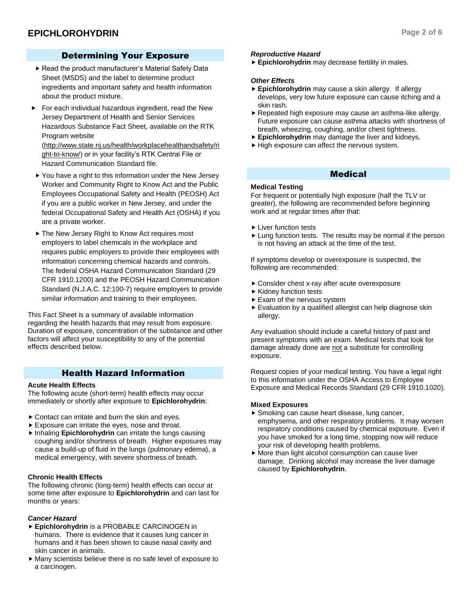## Determining Your Exposure

- Read the product manufacturer's Material Safety Data Sheet (MSDS) and the label to determine product ingredients and important safety and health information about the product mixture.
- For each individual hazardous ingredient, read the New Jersey Department of Health and Senior Services Hazardous Substance Fact Sheet, available on the RTK Program website

(http://www.state.nj.us/health/workplacehealthandsafety/ri ght-to-know/) or in your facility's RTK Central File or Hazard Communication Standard file.

- ▶ You have a right to this information under the New Jersey Worker and Community Right to Know Act and the Public Employees Occupational Safety and Health (PEOSH) Act if you are a public worker in New Jersey, and under the federal Occupational Safety and Health Act (OSHA) if you are a private worker.
- ▶ The New Jersey Right to Know Act requires most employers to label chemicals in the workplace and requires public employers to provide their employees with information concerning chemical hazards and controls. The federal OSHA Hazard Communication Standard (29 CFR 1910.1200) and the PEOSH Hazard Communication Standard (N.J.A.C. 12:100-7) require employers to provide similar information and training to their employees.

This Fact Sheet is a summary of available information regarding the health hazards that may result from exposure. Duration of exposure, concentration of the substance and other factors will affect your susceptibility to any of the potential effects described below.

## Health Hazard Information

#### **Acute Health Effects**

The following acute (short-term) health effects may occur immediately or shortly after exposure to **Epichlorohydrin**:

- ▶ Contact can irritate and burn the skin and eyes.
- Exposure can irritate the eves, nose and throat.
- Inhaling **Epichlorohydrin** can irritate the lungs causing coughing and/or shortness of breath. Higher exposures may cause a build-up of fluid in the lungs (pulmonary edema), a medical emergency, with severe shortness of breath.

#### **Chronic Health Effects**

The following chronic (long-term) health effects can occur at some time after exposure to **Epichlorohydrin** and can last for months or years:

#### *Cancer Hazard*

- **Epichlorohydrin** is a PROBABLE CARCINOGEN in humans. There is evidence that it causes lung cancer in humans and it has been shown to cause nasal cavity and skin cancer in animals.
- Many scientists believe there is no safe level of exposure to a carcinogen.

#### *Reproductive Hazard*

**Epichlorohydrin** may decrease fertility in males.

#### *Other Effects*

- **Epichlorohydrin** may cause a skin allergy. If allergy develops, very low future exposure can cause itching and a skin rash.
- Repeated high exposure may cause an asthma-like allergy. Future exposure can cause asthma attacks with shortness of breath, wheezing, coughing, and/or chest tightness.
- **Epichlorohydrin** may damage the liver and kidneys.
- $\blacktriangleright$  High exposure can affect the nervous system.

### Medical

#### **Medical Testing**

For frequent or potentially high exposure (half the TLV or greater), the following are recommended before beginning work and at regular times after that:

- ► Liver function tests
- ► Lung function tests. The results may be normal if the person is not having an attack at the time of the test.

If symptoms develop or overexposure is suspected, the following are recommended:

- ▶ Consider chest x-ray after acute overexposure
- $\blacktriangleright$  Kidney function tests
- Exam of the nervous system
- Evaluation by a qualified allergist can help diagnose skin allergy.

Any evaluation should include a careful history of past and present symptoms with an exam. Medical tests that look for damage already done are not a substitute for controlling exposure.

Request copies of your medical testing. You have a legal right to this information under the OSHA Access to Employee Exposure and Medical Records Standard (29 CFR 1910.1020).

#### **Mixed Exposures**

- ▶ Smoking can cause heart disease, lung cancer, emphysema, and other respiratory problems. It may worsen respiratory conditions caused by chemical exposure. Even if you have smoked for a long time, stopping now will reduce your risk of developing health problems.
- More than light alcohol consumption can cause liver damage. Drinking alcohol may increase the liver damage caused by **Epichlorohydrin**.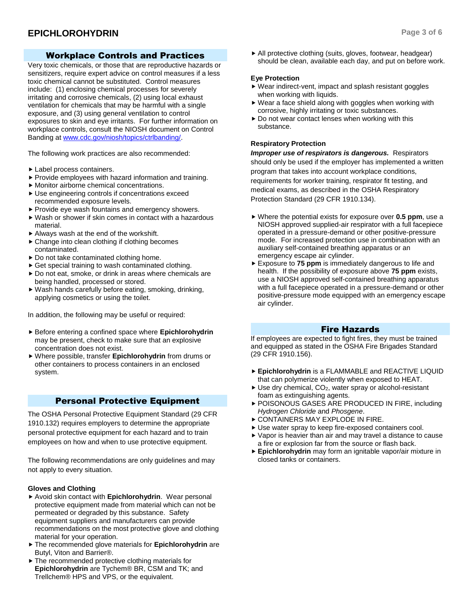## Workplace Controls and Practices

Very toxic chemicals, or those that are reproductive hazards or sensitizers, require expert advice on control measures if a less toxic chemical cannot be substituted. Control measures include: (1) enclosing chemical processes for severely irritating and corrosive chemicals, (2) using local exhaust ventilation for chemicals that may be harmful with a single exposure, and (3) using general ventilation to control exposures to skin and eye irritants. For further information on workplace controls, consult the NIOSH document on Control Banding a[t www.cdc.gov/niosh/topics/ctrlbanding/.](http://www.cdc.gov/niosh/topics/ctrlbanding/)

The following work practices are also recommended:

- Label process containers.
- $\blacktriangleright$  Provide employees with hazard information and training.
- Monitor airborne chemical concentrations.
- Use engineering controls if concentrations exceed recommended exposure levels.
- ▶ Provide eye wash fountains and emergency showers.
- Wash or shower if skin comes in contact with a hazardous material.
- Always wash at the end of the workshift.
- ▶ Change into clean clothing if clothing becomes contaminated.
- ▶ Do not take contaminated clothing home.
- ▶ Get special training to wash contaminated clothing.
- ▶ Do not eat, smoke, or drink in areas where chemicals are being handled, processed or stored.
- Wash hands carefully before eating, smoking, drinking, applying cosmetics or using the toilet.

In addition, the following may be useful or required:

- Before entering a confined space where **Epichlorohydrin** may be present, check to make sure that an explosive concentration does not exist.
- Where possible, transfer **Epichlorohydrin** from drums or other containers to process containers in an enclosed system.

## Personal Protective Equipment

The OSHA Personal Protective Equipment Standard (29 CFR 1910.132) requires employers to determine the appropriate personal protective equipment for each hazard and to train employees on how and when to use protective equipment.

The following recommendations are only guidelines and may not apply to every situation.

### **Gloves and Clothing**

- Avoid skin contact with **Epichlorohydrin**. Wear personal protective equipment made from material which can not be permeated or degraded by this substance. Safety equipment suppliers and manufacturers can provide recommendations on the most protective glove and clothing material for your operation.
- The recommended glove materials for **Epichlorohydrin** are Butyl, Viton and Barrier®.
- $\blacktriangleright$  The recommended protective clothing materials for **Epichlorohydrin** are Tychem® BR, CSM and TK; and Trellchem® HPS and VPS, or the equivalent.

 All protective clothing (suits, gloves, footwear, headgear) should be clean, available each day, and put on before work.

#### **Eye Protection**

- ▶ Wear indirect-vent, impact and splash resistant goggles when working with liquids.
- Wear a face shield along with goggles when working with corrosive, highly irritating or toxic substances.
- Do not wear contact lenses when working with this substance.

### **Respiratory Protection**

*Improper use of respirators is dangerous.* Respirators should only be used if the employer has implemented a written program that takes into account workplace conditions, requirements for worker training, respirator fit testing, and medical exams, as described in the OSHA Respiratory Protection Standard (29 CFR 1910.134).

- Where the potential exists for exposure over **0.5 ppm**, use a NIOSH approved supplied-air respirator with a full facepiece operated in a pressure-demand or other positive-pressure mode. For increased protection use in combination with an auxiliary self-contained breathing apparatus or an emergency escape air cylinder.
- Exposure to **75 ppm** is immediately dangerous to life and health. If the possibility of exposure above **75 ppm** exists, use a NIOSH approved self-contained breathing apparatus with a full facepiece operated in a pressure-demand or other positive-pressure mode equipped with an emergency escape air cylinder.

## Fire Hazards

If employees are expected to fight fires, they must be trained and equipped as stated in the OSHA Fire Brigades Standard (29 CFR 1910.156).

- **Epichlorohydrin** is a FLAMMABLE and REACTIVE LIQUID that can polymerize violently when exposed to HEAT.
- ▶ Use dry chemical, CO<sub>2</sub>, water spray or alcohol-resistant foam as extinguishing agents.
- POISONOUS GASES ARE PRODUCED IN FIRE, including *Hydrogen Chloride* and *Phosgene*.
- CONTAINERS MAY EXPLODE IN FIRE.
- Use water spray to keep fire-exposed containers cool.
- Vapor is heavier than air and may travel a distance to cause a fire or explosion far from the source or flash back.
- **Epichlorohydrin** may form an ignitable vapor/air mixture in closed tanks or containers.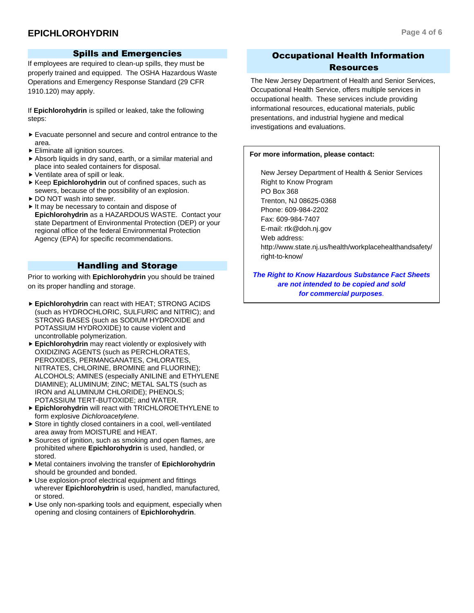If employees are required to clean-up spills, they must be properly trained and equipped. The OSHA Hazardous Waste Operations and Emergency Response Standard (29 CFR 1910.120) may apply.

If **Epichlorohydrin** is spilled or leaked, take the following steps:

- Evacuate personnel and secure and control entrance to the area.
- Eliminate all ignition sources.
- ▶ Absorb liquids in dry sand, earth, or a similar material and place into sealed containers for disposal.
- Ventilate area of spill or leak.
- Keep **Epichlorohydrin** out of confined spaces, such as sewers, because of the possibility of an explosion.
- ▶ DO NOT wash into sewer.
- $\blacktriangleright$  It may be necessary to contain and dispose of **Epichlorohydrin** as a HAZARDOUS WASTE. Contact your state Department of Environmental Protection (DEP) or your regional office of the federal Environmental Protection Agency (EPA) for specific recommendations.

## Handling and Storage

Prior to working with **Epichlorohydrin** you should be trained on its proper handling and storage.

- **Epichlorohydrin** can react with HEAT; STRONG ACIDS (such as HYDROCHLORIC, SULFURIC and NITRIC); and STRONG BASES (such as SODIUM HYDROXIDE and POTASSIUM HYDROXIDE) to cause violent and uncontrollable polymerization.
- **Epichlorohydrin** may react violently or explosively with OXIDIZING AGENTS (such as PERCHLORATES, PEROXIDES, PERMANGANATES, CHLORATES, NITRATES, CHLORINE, BROMINE and FLUORINE); ALCOHOLS; AMINES (especially ANILINE and ETHYLENE DIAMINE); ALUMINUM; ZINC; METAL SALTS (such as IRON and ALUMINUM CHLORIDE); PHENOLS; POTASSIUM TERT-BUTOXIDE; and WATER.
- **Epichlorohydrin** will react with TRICHLOROETHYLENE to form explosive *Dichloroacetylene*.
- Store in tightly closed containers in a cool, well-ventilated area away from MOISTURE and HEAT.
- Sources of ignition, such as smoking and open flames, are prohibited where **Epichlorohydrin** is used, handled, or stored.
- Metal containers involving the transfer of **Epichlorohydrin** should be grounded and bonded.
- ▶ Use explosion-proof electrical equipment and fittings wherever **Epichlorohydrin** is used, handled, manufactured, or stored.
- Use only non-sparking tools and equipment, especially when opening and closing containers of **Epichlorohydrin**.

## Occupational Health Information Resources

The New Jersey Department of Health and Senior Services, Occupational Health Service, offers multiple services in occupational health. These services include providing informational resources, educational materials, public presentations, and industrial hygiene and medical investigations and evaluations.

#### **For more information, please contact:**

New Jersey Department of Health & Senior Services Right to Know Program PO Box 368 Trenton, NJ 08625-0368 Phone: 609-984-2202 Fax: 609-984-7407 E-mail: rtk@doh.nj.gov Web address: http://www.state.nj.us/health/workplacehealthandsafety/ right-to-know/

*The Right to Know Hazardous Substance Fact Sheets are not intended to be copied and sold for commercial purposes.*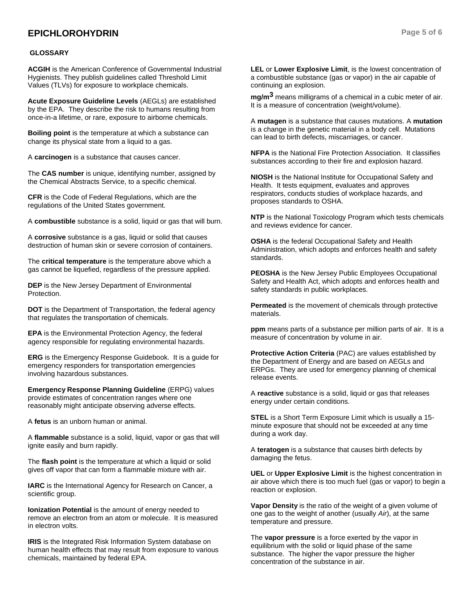## **EPICHLOROHYDRIN Page 5 of 6**

#### **GLOSSARY**

**ACGIH** is the American Conference of Governmental Industrial Hygienists. They publish guidelines called Threshold Limit Values (TLVs) for exposure to workplace chemicals.

**Acute Exposure Guideline Levels** (AEGLs) are established by the EPA. They describe the risk to humans resulting from once-in-a lifetime, or rare, exposure to airborne chemicals.

**Boiling point** is the temperature at which a substance can change its physical state from a liquid to a gas.

A **carcinogen** is a substance that causes cancer.

The **CAS number** is unique, identifying number, assigned by the Chemical Abstracts Service, to a specific chemical.

**CFR** is the Code of Federal Regulations, which are the regulations of the United States government.

A **combustible** substance is a solid, liquid or gas that will burn.

A **corrosive** substance is a gas, liquid or solid that causes destruction of human skin or severe corrosion of containers.

The **critical temperature** is the temperature above which a gas cannot be liquefied, regardless of the pressure applied.

**DEP** is the New Jersey Department of Environmental Protection.

**DOT** is the Department of Transportation, the federal agency that regulates the transportation of chemicals.

**EPA** is the Environmental Protection Agency, the federal agency responsible for regulating environmental hazards.

**ERG** is the Emergency Response Guidebook. It is a guide for emergency responders for transportation emergencies involving hazardous substances.

**Emergency Response Planning Guideline** (ERPG) values provide estimates of concentration ranges where one reasonably might anticipate observing adverse effects.

A **fetus** is an unborn human or animal.

A **flammable** substance is a solid, liquid, vapor or gas that will ignite easily and burn rapidly.

The **flash point** is the temperature at which a liquid or solid gives off vapor that can form a flammable mixture with air.

**IARC** is the International Agency for Research on Cancer, a scientific group.

**Ionization Potential** is the amount of energy needed to remove an electron from an atom or molecule. It is measured in electron volts.

**IRIS** is the Integrated Risk Information System database on human health effects that may result from exposure to various chemicals, maintained by federal EPA.

**LEL** or **Lower Explosive Limit**, is the lowest concentration of a combustible substance (gas or vapor) in the air capable of continuing an explosion.

**mg/m3** means milligrams of a chemical in a cubic meter of air. It is a measure of concentration (weight/volume).

A **mutagen** is a substance that causes mutations. A **mutation** is a change in the genetic material in a body cell. Mutations can lead to birth defects, miscarriages, or cancer.

**NFPA** is the National Fire Protection Association. It classifies substances according to their fire and explosion hazard.

**NIOSH** is the National Institute for Occupational Safety and Health. It tests equipment, evaluates and approves respirators, conducts studies of workplace hazards, and proposes standards to OSHA.

**NTP** is the National Toxicology Program which tests chemicals and reviews evidence for cancer.

**OSHA** is the federal Occupational Safety and Health Administration, which adopts and enforces health and safety standards.

**PEOSHA** is the New Jersey Public Employees Occupational Safety and Health Act, which adopts and enforces health and safety standards in public workplaces.

**Permeated** is the movement of chemicals through protective materials.

**ppm** means parts of a substance per million parts of air. It is a measure of concentration by volume in air.

**Protective Action Criteria** (PAC) are values established by the Department of Energy and are based on AEGLs and ERPGs. They are used for emergency planning of chemical release events.

A **reactive** substance is a solid, liquid or gas that releases energy under certain conditions.

**STEL** is a Short Term Exposure Limit which is usually a 15 minute exposure that should not be exceeded at any time during a work day.

A **teratogen** is a substance that causes birth defects by damaging the fetus.

**UEL** or **Upper Explosive Limit** is the highest concentration in air above which there is too much fuel (gas or vapor) to begin a reaction or explosion.

**Vapor Density** is the ratio of the weight of a given volume of one gas to the weight of another (usually *Air*), at the same temperature and pressure.

The **vapor pressure** is a force exerted by the vapor in equilibrium with the solid or liquid phase of the same substance. The higher the vapor pressure the higher concentration of the substance in air.